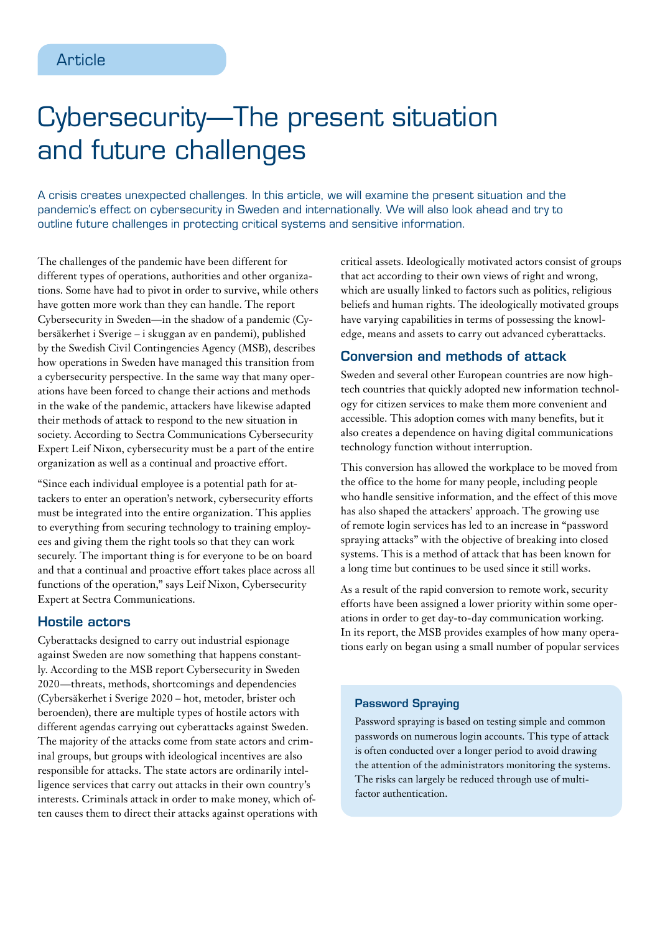# Cybersecurity—The present situation and future challenges

A crisis creates unexpected challenges. In this article, we will examine the present situation and the pandemic's effect on cybersecurity in Sweden and internationally. We will also look ahead and try to outline future challenges in protecting critical systems and sensitive information.

The challenges of the pandemic have been different for different types of operations, authorities and other organizations. Some have had to pivot in order to survive, while others have gotten more work than they can handle. The report Cybersecurity in Sweden—in the shadow of a pandemic (Cybersäkerhet i Sverige – i skuggan av en pandemi), published by the Swedish Civil Contingencies Agency (MSB), describes how operations in Sweden have managed this transition from a cybersecurity perspective. In the same way that many operations have been forced to change their actions and methods in the wake of the pandemic, attackers have likewise adapted their methods of attack to respond to the new situation in society. According to Sectra Communications Cybersecurity Expert Leif Nixon, cybersecurity must be a part of the entire organization as well as a continual and proactive effort.

"Since each individual employee is a potential path for attackers to enter an operation's network, cybersecurity efforts must be integrated into the entire organization. This applies to everything from securing technology to training employees and giving them the right tools so that they can work securely. The important thing is for everyone to be on board and that a continual and proactive effort takes place across all functions of the operation," says Leif Nixon, Cybersecurity Expert at Sectra Communications.

## Hostile actors

Cyberattacks designed to carry out industrial espionage against Sweden are now something that happens constantly. According to the MSB report Cybersecurity in Sweden 2020—threats, methods, shortcomings and dependencies (Cybersäkerhet i Sverige 2020 – hot, metoder, brister och beroenden), there are multiple types of hostile actors with different agendas carrying out cyberattacks against Sweden. The majority of the attacks come from state actors and criminal groups, but groups with ideological incentives are also responsible for attacks. The state actors are ordinarily intelligence services that carry out attacks in their own country's interests. Criminals attack in order to make money, which often causes them to direct their attacks against operations with critical assets. Ideologically motivated actors consist of groups that act according to their own views of right and wrong, which are usually linked to factors such as politics, religious beliefs and human rights. The ideologically motivated groups have varying capabilities in terms of possessing the knowledge, means and assets to carry out advanced cyberattacks.

# Conversion and methods of attack

Sweden and several other European countries are now hightech countries that quickly adopted new information technology for citizen services to make them more convenient and accessible. This adoption comes with many benefits, but it also creates a dependence on having digital communications technology function without interruption.

This conversion has allowed the workplace to be moved from the office to the home for many people, including people who handle sensitive information, and the effect of this move has also shaped the attackers' approach. The growing use of remote login services has led to an increase in "password spraying attacks" with the objective of breaking into closed systems. This is a method of attack that has been known for a long time but continues to be used since it still works.

As a result of the rapid conversion to remote work, security efforts have been assigned a lower priority within some operations in order to get day-to-day communication working. In its report, the MSB provides examples of how many operations early on began using a small number of popular services

## Password Spraying

Password spraying is based on testing simple and common passwords on numerous login accounts. This type of attack is often conducted over a longer period to avoid drawing the attention of the administrators monitoring the systems. The risks can largely be reduced through use of multifactor authentication.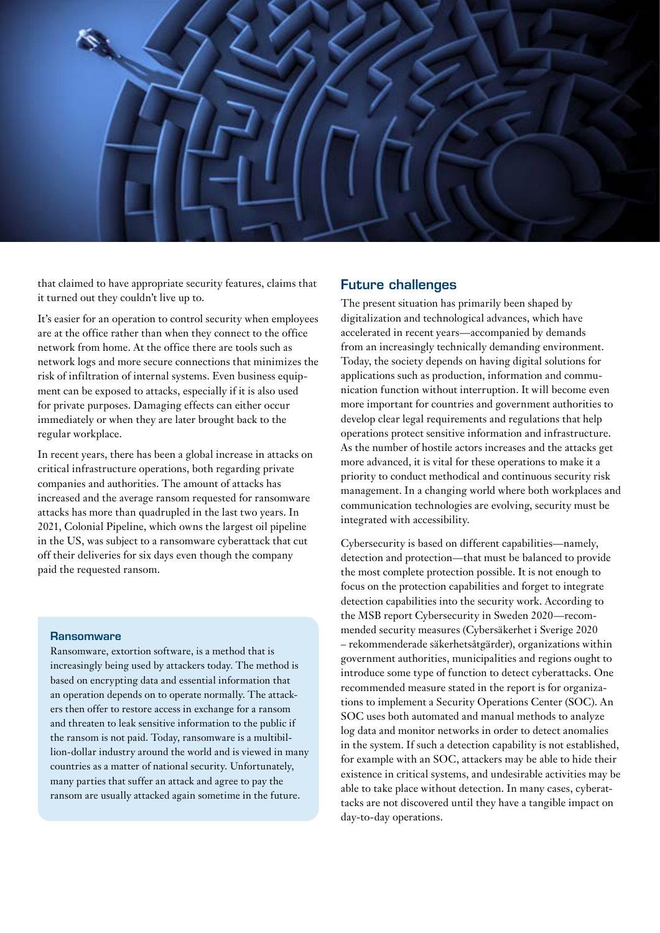

that claimed to have appropriate security features, claims that it turned out they couldn't live up to.

It's easier for an operation to control security when employees are at the office rather than when they connect to the office network from home. At the office there are tools such as network logs and more secure connections that minimizes the risk of infiltration of internal systems. Even business equipment can be exposed to attacks, especially if it is also used for private purposes. Damaging effects can either occur immediately or when they are later brought back to the regular workplace.

In recent years, there has been a global increase in attacks on critical infrastructure operations, both regarding private companies and authorities. The amount of attacks has increased and the average ransom requested for ransomware attacks has more than quadrupled in the last two years. In 2021, Colonial Pipeline, which owns the largest oil pipeline in the US, was subject to a ransomware cyberattack that cut off their deliveries for six days even though the company paid the requested ransom.

#### **Ransomware**

Ransomware, extortion software, is a method that is increasingly being used by attackers today. The method is based on encrypting data and essential information that an operation depends on to operate normally. The attackers then offer to restore access in exchange for a ransom and threaten to leak sensitive information to the public if the ransom is not paid. Today, ransomware is a multibillion-dollar industry around the world and is viewed in many countries as a matter of national security. Unfortunately, many parties that suffer an attack and agree to pay the ransom are usually attacked again sometime in the future.

## Future challenges

The present situation has primarily been shaped by digitalization and technological advances, which have accelerated in recent years—accompanied by demands from an increasingly technically demanding environment. Today, the society depends on having digital solutions for applications such as production, information and communication function without interruption. It will become even more important for countries and government authorities to develop clear legal requirements and regulations that help operations protect sensitive information and infrastructure. As the number of hostile actors increases and the attacks get more advanced, it is vital for these operations to make it a priority to conduct methodical and continuous security risk management. In a changing world where both workplaces and communication technologies are evolving, security must be integrated with accessibility.

Cybersecurity is based on different capabilities—namely, detection and protection—that must be balanced to provide the most complete protection possible. It is not enough to focus on the protection capabilities and forget to integrate detection capabilities into the security work. According to the MSB report Cybersecurity in Sweden 2020—recommended security measures (Cybersäkerhet i Sverige 2020 – rekommenderade säkerhetsåtgärder), organizations within government authorities, municipalities and regions ought to introduce some type of function to detect cyberattacks. One recommended measure stated in the report is for organizations to implement a Security Operations Center (SOC). An SOC uses both automated and manual methods to analyze log data and monitor networks in order to detect anomalies in the system. If such a detection capability is not established, for example with an SOC, attackers may be able to hide their existence in critical systems, and undesirable activities may be able to take place without detection. In many cases, cyberattacks are not discovered until they have a tangible impact on day-to-day operations.